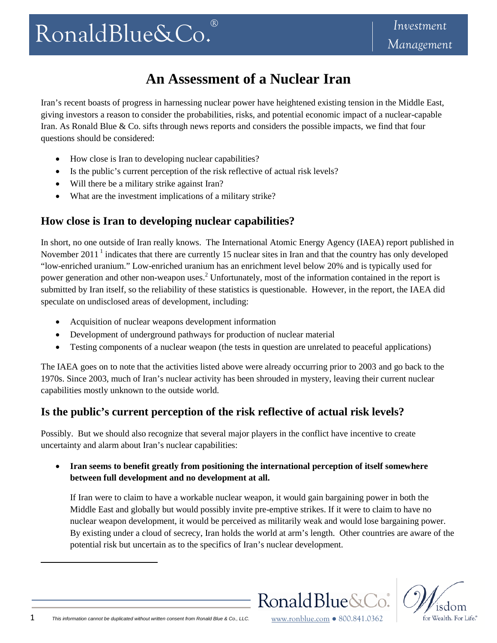# **An Assessment of a Nuclear Iran**

Iran's recent boasts of progress in harnessing nuclear power have heightened existing tension in the Middle East, giving investors a reason to consider the probabilities, risks, and potential economic impact of a nuclear-capable Iran. As Ronald Blue & Co. sifts through news reports and considers the possible impacts, we find that four questions should be considered:

- How close is Iran to developing nuclear capabilities?
- Is the public's current perception of the risk reflective of actual risk levels?
- Will there be a military strike against Iran?
- What are the investment implications of a military strike?

## **How close is Iran to developing nuclear capabilities?**

In short, no one outside of Iran really knows. The International Atomic Energy Agency (IAEA) report published in November 2011<sup>1</sup> indicates that there are currently 15 nuclear sites in Iran and that the country has only developed "low-enriched uranium." Low-enriched uranium has an enrichment level below 20% and is typically used for power generation and other non-weapon uses.<sup>2</sup> Unfortunately, most of the information contained in the report is submitted by Iran itself, so the reliability of these statistics is questionable. However, in the report, the IAEA did speculate on undisclosed areas of development, including:

- Acquisition of nuclear weapons development information
- Development of underground pathways for production of nuclear material
- Testing components of a nuclear weapon (the tests in question are unrelated to peaceful applications)

The IAEA goes on to note that the activities listed above were already occurring prior to 2003 and go back to the 1970s. Since 2003, much of Iran's nuclear activity has been shrouded in mystery, leaving their current nuclear capabilities mostly unknown to the outside world.

## **Is the public's current perception of the risk reflective of actual risk levels?**

Possibly. But we should also recognize that several major players in the conflict have incentive to create uncertainty and alarm about Iran's nuclear capabilities:

 **Iran seems to benefit greatly from positioning the international perception of itself somewhere between full development and no development at all.**

If Iran were to claim to have a workable nuclear weapon, it would gain bargaining power in both the Middle East and globally but would possibly invite pre-emptive strikes. If it were to claim to have no nuclear weapon development, it would be perceived as militarily weak and would lose bargaining power. By existing under a cloud of secrecy, Iran holds the world at arm's length. Other countries are aware of the potential risk but uncertain as to the specifics of Iran's nuclear development.



Ronald Blue&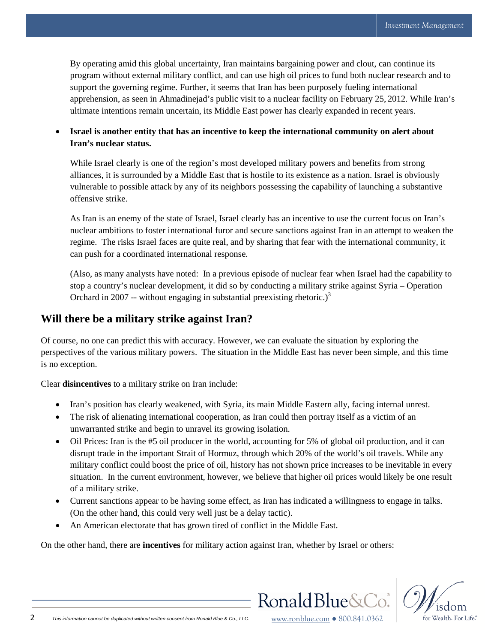By operating amid this global uncertainty, Iran maintains bargaining power and clout, can continue its program without external military conflict, and can use high oil prices to fund both nuclear research and to support the governing regime. Further, it seems that Iran has been purposely fueling international apprehension, as seen in Ahmadinejad's public visit to a nuclear facility on February 25, 2012. While Iran's ultimate intentions remain uncertain, its Middle East power has clearly expanded in recent years.

 **Israel is another entity that has an incentive to keep the international community on alert about Iran's nuclear status.**

While Israel clearly is one of the region's most developed military powers and benefits from strong alliances, it is surrounded by a Middle East that is hostile to its existence as a nation. Israel is obviously vulnerable to possible attack by any of its neighbors possessing the capability of launching a substantive offensive strike.

As Iran is an enemy of the state of Israel, Israel clearly has an incentive to use the current focus on Iran's nuclear ambitions to foster international furor and secure sanctions against Iran in an attempt to weaken the regime. The risks Israel faces are quite real, and by sharing that fear with the international community, it can push for a coordinated international response.

(Also, as many analysts have noted: In a previous episode of nuclear fear when Israel had the capability to stop a country's nuclear development, it did so by conducting a military strike against Syria – Operation Orchard in 2007 -- without engaging in substantial preexisting rhetoric.)<sup>3</sup>

#### **Will there be a military strike against Iran?**

Of course, no one can predict this with accuracy. However, we can evaluate the situation by exploring the perspectives of the various military powers. The situation in the Middle East has never been simple, and this time is no exception.

Clear **disincentives** to a military strike on Iran include:

- Iran's position has clearly weakened, with Syria, its main Middle Eastern ally, facing internal unrest.
- The risk of alienating international cooperation, as Iran could then portray itself as a victim of an unwarranted strike and begin to unravel its growing isolation.
- Oil Prices: Iran is the #5 oil producer in the world, accounting for 5% of global oil production, and it can disrupt trade in the important Strait of Hormuz, through which 20% of the world's oil travels. While any military conflict could boost the price of oil, history has not shown price increases to be inevitable in every situation. In the current environment, however, we believe that higher oil prices would likely be one result of a military strike.
- Current sanctions appear to be having some effect, as Iran has indicated a willingness to engage in talks. (On the other hand, this could very well just be a delay tactic).
- An American electorate that has grown tired of conflict in the Middle East.

On the other hand, there are **incentives** for military action against Iran, whether by Israel or others:



Ronald Blue&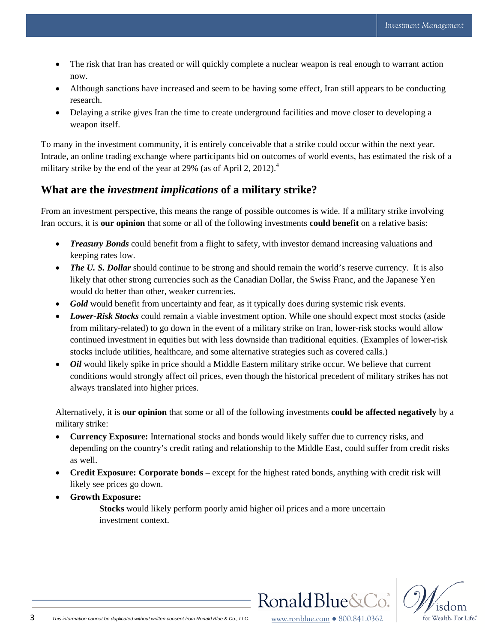- The risk that Iran has created or will quickly complete a nuclear weapon is real enough to warrant action now.
- Although sanctions have increased and seem to be having some effect, Iran still appears to be conducting research.
- Delaying a strike gives Iran the time to create underground facilities and move closer to developing a weapon itself.

To many in the investment community, it is entirely conceivable that a strike could occur within the next year. Intrade, an online trading exchange where participants bid on outcomes of world events, has estimated the risk of a military strike by the end of the year at 29% (as of April 2, 2012).<sup>4</sup>

### **What are the** *investment implications* **of a military strike?**

From an investment perspective, this means the range of possible outcomes is wide. If a military strike involving Iran occurs, it is **our opinion** that some or all of the following investments **could benefit** on a relative basis:

- *Treasury Bonds* could benefit from a flight to safety, with investor demand increasing valuations and keeping rates low.
- *The U. S. Dollar* should continue to be strong and should remain the world's reserve currency. It is also likely that other strong currencies such as the Canadian Dollar, the Swiss Franc, and the Japanese Yen would do better than other, weaker currencies.
- *Gold* would benefit from uncertainty and fear, as it typically does during systemic risk events.
- *Lower-Risk Stocks* could remain a viable investment option. While one should expect most stocks (aside from military-related) to go down in the event of a military strike on Iran, lower-risk stocks would allow continued investment in equities but with less downside than traditional equities. (Examples of lower-risk stocks include utilities, healthcare, and some alternative strategies such as covered calls.)
- *Oil* would likely spike in price should a Middle Eastern military strike occur. We believe that current conditions would strongly affect oil prices, even though the historical precedent of military strikes has not always translated into higher prices.

Alternatively, it is **our opinion** that some or all of the following investments **could be affected negatively** by a military strike:

- **Currency Exposure:** International stocks and bonds would likely suffer due to currency risks, and depending on the country's credit rating and relationship to the Middle East, could suffer from credit risks as well.
- **Credit Exposure: Corporate bonds** except for the highest rated bonds, anything with credit risk will likely see prices go down.
- **Growth Exposure:**

**Stocks** would likely perform poorly amid higher oil prices and a more uncertain investment context.



Ronald Blue&